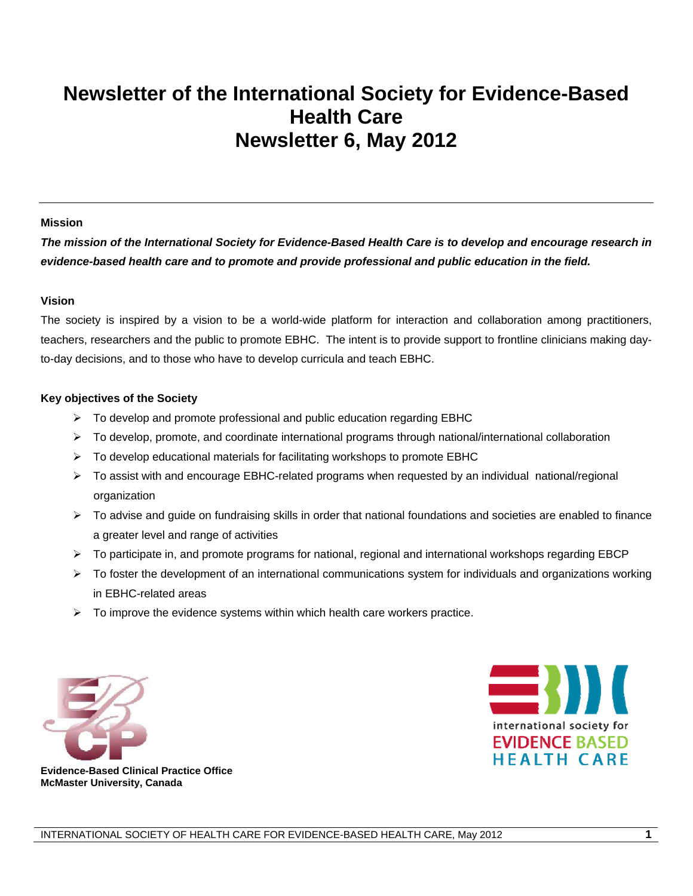# **Newsletter of the International Society for Evidence-Based Health Care Newsletter 6, May 2012**

#### **Mission**

*The mission of the International Society for Evidence-Based Health Care is to develop and encourage research in evidence-based health care and to promote and provide professional and public education in the field.* 

#### **Vision**

The society is inspired by a vision to be a world-wide platform for interaction and collaboration among practitioners, teachers, researchers and the public to promote EBHC. The intent is to provide support to frontline clinicians making dayto-day decisions, and to those who have to develop curricula and teach EBHC.

#### **Key objectives of the Society**

- $\triangleright$  To develop and promote professional and public education regarding EBHC
- $\triangleright$  To develop, promote, and coordinate international programs through national/international collaboration
- $\triangleright$  To develop educational materials for facilitating workshops to promote EBHC
- ¾ To assist with and encourage EBHC-related programs when requested by an individual national/regional organization
- $\triangleright$  To advise and guide on fundraising skills in order that national foundations and societies are enabled to finance a greater level and range of activities
- ¾ To participate in, and promote programs for national, regional and international workshops regarding EBCP
- $\triangleright$  To foster the development of an international communications system for individuals and organizations working in EBHC-related areas
- $\triangleright$  To improve the evidence systems within which health care workers practice.





 **Evidence-Based Clinical Practice Office McMaster University, Canada**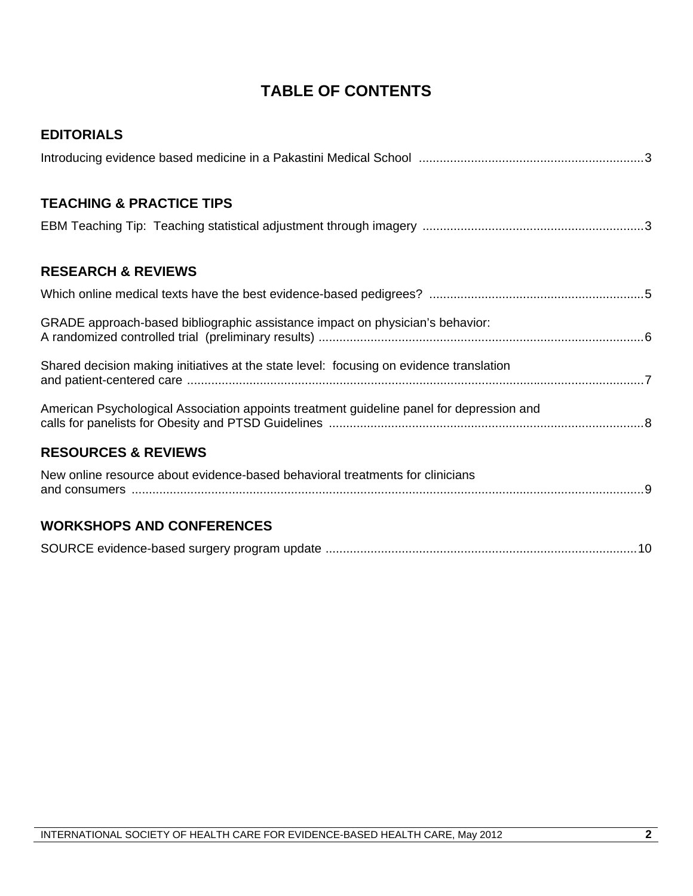## **TABLE OF CONTENTS**

| <b>EDITORIALS</b>                                                                        |
|------------------------------------------------------------------------------------------|
|                                                                                          |
| <b>TEACHING &amp; PRACTICE TIPS</b>                                                      |
|                                                                                          |
| <b>RESEARCH &amp; REVIEWS</b>                                                            |
|                                                                                          |
| GRADE approach-based bibliographic assistance impact on physician's behavior:            |
| Shared decision making initiatives at the state level: focusing on evidence translation  |
| American Psychological Association appoints treatment guideline panel for depression and |
| <b>RESOURCES &amp; REVIEWS</b>                                                           |
| New online resource about evidence-based behavioral treatments for clinicians            |
| <b>WORKSHOPS AND CONFERENCES</b>                                                         |

|--|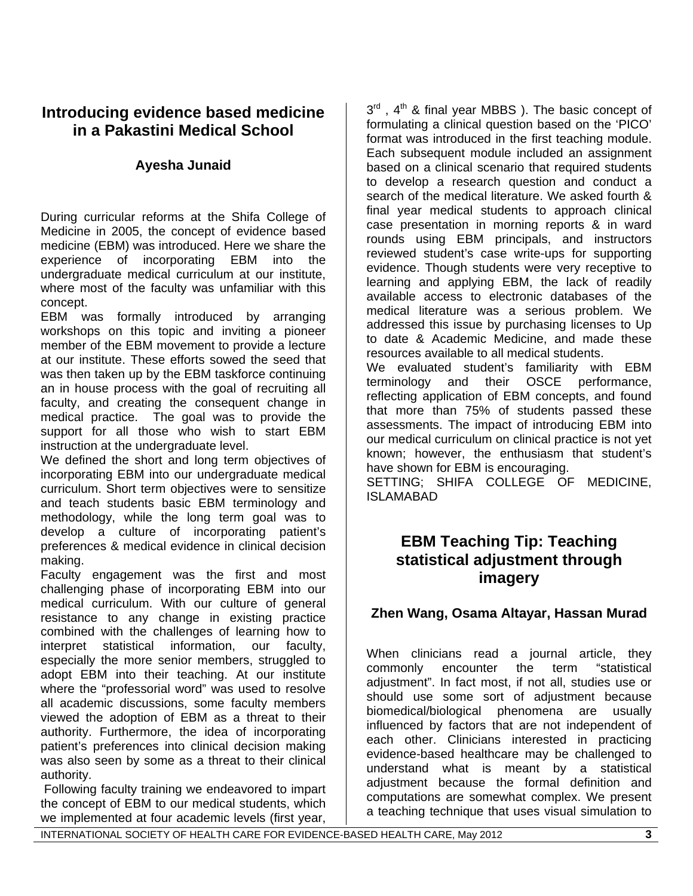## **Introducing evidence based medicine in a Pakastini Medical School**

## **Ayesha Junaid**

During curricular reforms at the Shifa College of Medicine in 2005, the concept of evidence based medicine (EBM) was introduced. Here we share the experience of incorporating EBM into the undergraduate medical curriculum at our institute, where most of the faculty was unfamiliar with this concept.

EBM was formally introduced by arranging workshops on this topic and inviting a pioneer member of the EBM movement to provide a lecture at our institute. These efforts sowed the seed that was then taken up by the EBM taskforce continuing an in house process with the goal of recruiting all faculty, and creating the consequent change in medical practice. The goal was to provide the support for all those who wish to start EBM instruction at the undergraduate level.

We defined the short and long term objectives of incorporating EBM into our undergraduate medical curriculum. Short term objectives were to sensitize and teach students basic EBM terminology and methodology, while the long term goal was to develop a culture of incorporating patient's preferences & medical evidence in clinical decision making.

Faculty engagement was the first and most challenging phase of incorporating EBM into our medical curriculum. With our culture of general resistance to any change in existing practice combined with the challenges of learning how to interpret statistical information, our faculty, especially the more senior members, struggled to adopt EBM into their teaching. At our institute where the "professorial word" was used to resolve all academic discussions, some faculty members viewed the adoption of EBM as a threat to their authority. Furthermore, the idea of incorporating patient's preferences into clinical decision making was also seen by some as a threat to their clinical authority.

 Following faculty training we endeavored to impart the concept of EBM to our medical students, which we implemented at four academic levels (first year,

 $3^{rd}$ ,  $4^{th}$  & final year MBBS). The basic concept of formulating a clinical question based on the 'PICO' format was introduced in the first teaching module. Each subsequent module included an assignment based on a clinical scenario that required students to develop a research question and conduct a search of the medical literature. We asked fourth & final year medical students to approach clinical case presentation in morning reports & in ward rounds using EBM principals, and instructors reviewed student's case write-ups for supporting evidence. Though students were very receptive to learning and applying EBM, the lack of readily available access to electronic databases of the medical literature was a serious problem. We addressed this issue by purchasing licenses to Up to date & Academic Medicine, and made these resources available to all medical students. We evaluated student's familiarity with EBM terminology and their OSCE performance, reflecting application of EBM concepts, and found that more than 75% of students passed these assessments. The impact of introducing EBM into our medical curriculum on clinical practice is not yet known; however, the enthusiasm that student's have shown for EBM is encouraging.

SETTING; SHIFA COLLEGE OF MEDICINE, ISLAMABAD

## **EBM Teaching Tip: Teaching statistical adjustment through imagery**

### **Zhen Wang, Osama Altayar, Hassan Murad**

When clinicians read a journal article, they commonly encounter the term "statistical adjustment". In fact most, if not all, studies use or should use some sort of adjustment because biomedical/biological phenomena are usually influenced by factors that are not independent of each other. Clinicians interested in practicing evidence-based healthcare may be challenged to understand what is meant by a statistical adjustment because the formal definition and computations are somewhat complex. We present a teaching technique that uses visual simulation to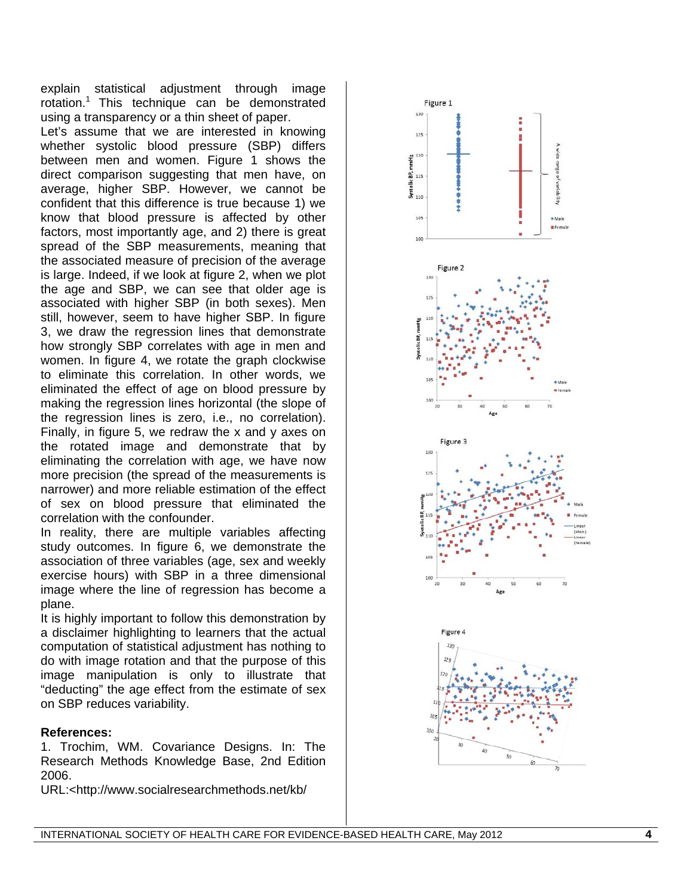explain statistical adjustment through image rotation.<sup>1</sup> This technique can be demonstrated using a transparency or a thin sheet of paper. Let's assume that we are interested in knowing whether systolic blood pressure (SBP) differs between men and women. Figure 1 shows the direct comparison suggesting that men have, on average, higher SBP. However, we cannot be confident that this difference is true because 1) we know that blood pressure is affected by other factors, most importantly age, and 2) there is great spread of the SBP measurements, meaning that the associated measure of precision of the average is large. Indeed, if we look at figure 2, when we plot the age and SBP, we can see that older age is associated with higher SBP (in both sexes). Men still, however, seem to have higher SBP. In figure 3, we draw the regression lines that demonstrate how strongly SBP correlates with age in men and women. In figure 4, we rotate the graph clockwise to eliminate this correlation. In other words, we eliminated the effect of age on blood pressure by making the regression lines horizontal (the slope of the regression lines is zero, i.e., no correlation). Finally, in figure 5, we redraw the x and y axes on the rotated image and demonstrate that by eliminating the correlation with age, we have now more precision (the spread of the measurements is narrower) and more reliable estimation of the effect of sex on blood pressure that eliminated the correlation with the confounder.

In reality, there are multiple variables affecting study outcomes. In figure 6, we demonstrate the association of three variables (age, sex and weekly exercise hours) with SBP in a three dimensional image where the line of regression has become a plane.

It is highly important to follow this demonstration by a disclaimer highlighting to learners that the actual computation of statistical adjustment has nothing to do with image rotation and that the purpose of this image manipulation is only to illustrate that "deducting" the age effect from the estimate of sex on SBP reduces variability.

#### **References:**

1. Trochim, WM. Covariance Designs. In: The Research Methods Knowledge Base, 2nd Edition 2006.

URL:<http://www.socialresearchmethods.net/kb/

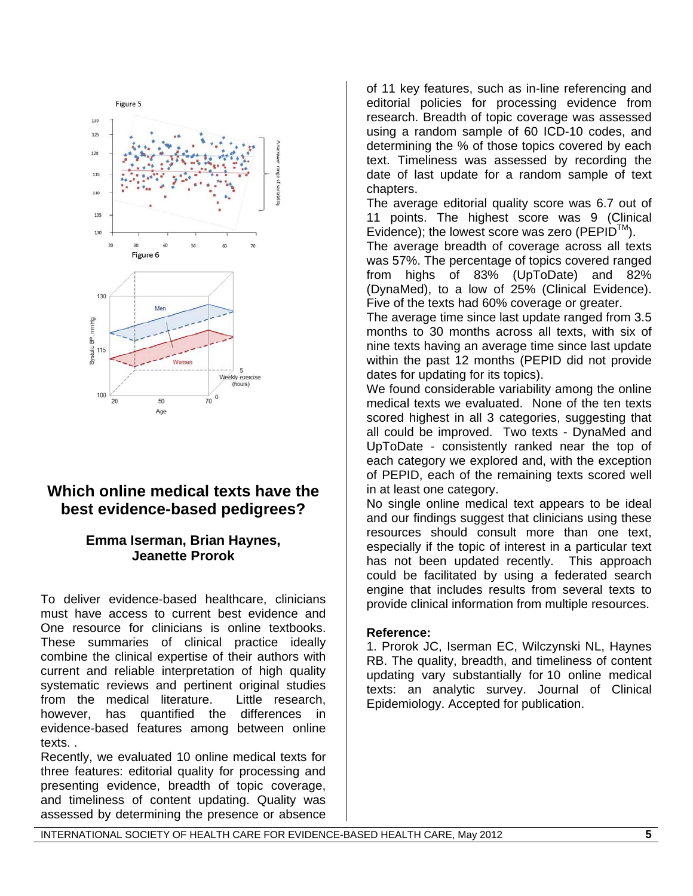

## **Which online medical texts have the best evidence-based pedigrees?**

### **Emma Iserman, Brian Haynes, Jeanette Prorok**

To deliver evidence-based healthcare, clinicians must have access to current best evidence and One resource for clinicians is online textbooks. These summaries of clinical practice ideally combine the clinical expertise of their authors with current and reliable interpretation of high quality systematic reviews and pertinent original studies from the medical literature. Little research, however, has quantified the differences in evidence-based features among between online texts. .

Recently, we evaluated 10 online medical texts for three features: editorial quality for processing and presenting evidence, breadth of topic coverage, and timeliness of content updating. Quality was assessed by determining the presence or absence

of 11 key features, such as in-line referencing and editorial policies for processing evidence from research. Breadth of topic coverage was assessed using a random sample of 60 ICD-10 codes, and determining the % of those topics covered by each text. Timeliness was assessed by recording the date of last update for a random sample of text chapters.

The average editorial quality score was 6.7 out of 11 points. The highest score was 9 (Clinical Evidence); the lowest score was zero (PEPID $^{TM}$ ).

The average breadth of coverage across all texts was 57%. The percentage of topics covered ranged from highs of 83% (UpToDate) and 82% (DynaMed), to a low of 25% (Clinical Evidence). Five of the texts had 60% coverage or greater.

The average time since last update ranged from 3.5 months to 30 months across all texts, with six of nine texts having an average time since last update within the past 12 months (PEPID did not provide dates for updating for its topics).

We found considerable variability among the online medical texts we evaluated. None of the ten texts scored highest in all 3 categories, suggesting that all could be improved. Two texts - DynaMed and UpToDate - consistently ranked near the top of each category we explored and, with the exception of PEPID, each of the remaining texts scored well in at least one category.

No single online medical text appears to be ideal and our findings suggest that clinicians using these resources should consult more than one text, especially if the topic of interest in a particular text has not been updated recently. This approach could be facilitated by using a federated search engine that includes results from several texts to provide clinical information from multiple resources.

### **Reference:**

1. Prorok JC, Iserman EC, Wilczynski NL, Haynes RB. The quality, breadth, and timeliness of content updating vary substantially for 10 online medical texts: an analytic survey. Journal of Clinical Epidemiology. Accepted for publication.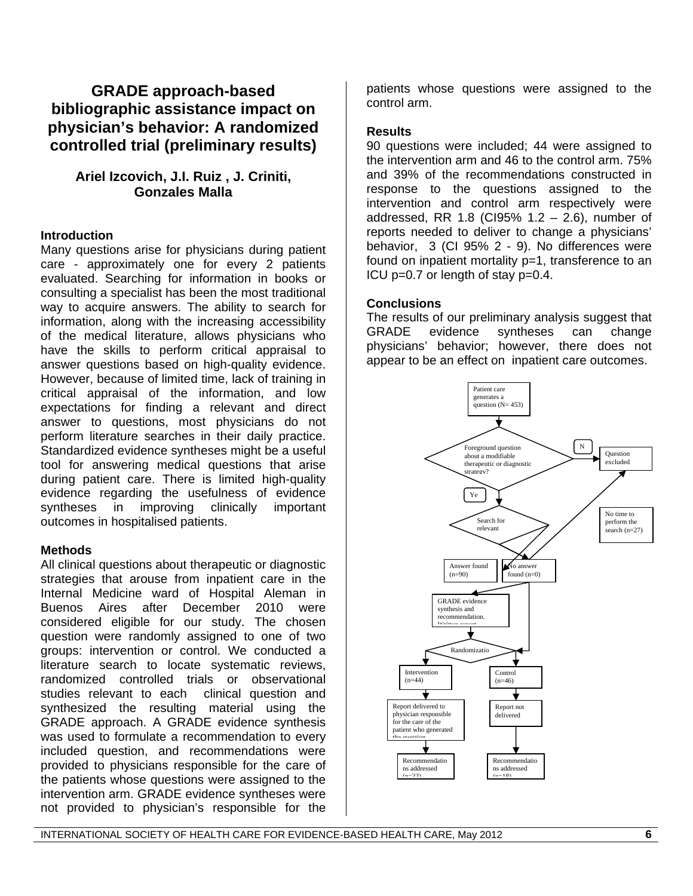## **GRADE approach-based bibliographic assistance impact on physician's behavior: A randomized controlled trial (preliminary results)**

### **Ariel Izcovich, J.I. Ruiz , J. Criniti, Gonzales Malla**

### **Introduction**

Many questions arise for physicians during patient care - approximately one for every 2 patients evaluated. Searching for information in books or consulting a specialist has been the most traditional way to acquire answers. The ability to search for information, along with the increasing accessibility of the medical literature, allows physicians who have the skills to perform critical appraisal to answer questions based on high-quality evidence. However, because of limited time, lack of training in critical appraisal of the information, and low expectations for finding a relevant and direct answer to questions, most physicians do not perform literature searches in their daily practice. Standardized evidence syntheses might be a useful tool for answering medical questions that arise during patient care. There is limited high-quality evidence regarding the usefulness of evidence syntheses in improving clinically important outcomes in hospitalised patients.

#### **Methods**

All clinical questions about therapeutic or diagnostic strategies that arouse from inpatient care in the Internal Medicine ward of Hospital Aleman in Buenos Aires after December 2010 were considered eligible for our study. The chosen question were randomly assigned to one of two groups: intervention or control. We conducted a literature search to locate systematic reviews, randomized controlled trials or observational studies relevant to each clinical question and synthesized the resulting material using the GRADE approach. A GRADE evidence synthesis was used to formulate a recommendation to every included question, and recommendations were provided to physicians responsible for the care of the patients whose questions were assigned to the intervention arm. GRADE evidence syntheses were not provided to physician's responsible for the

patients whose questions were assigned to the control arm.

#### **Results**

90 questions were included; 44 were assigned to the intervention arm and 46 to the control arm. 75% and 39% of the recommendations constructed in response to the questions assigned to the intervention and control arm respectively were addressed, RR 1.8 (CI95% 1.2 – 2.6), number of reports needed to deliver to change a physicians' behavior, 3 (CI 95% 2 - 9). No differences were found on inpatient mortality p=1, transference to an ICU p=0.7 or length of stay p=0.4.

### **Conclusions**

The results of our preliminary analysis suggest that GRADE evidence syntheses can change physicians' behavior; however, there does not appear to be an effect on inpatient care outcomes.

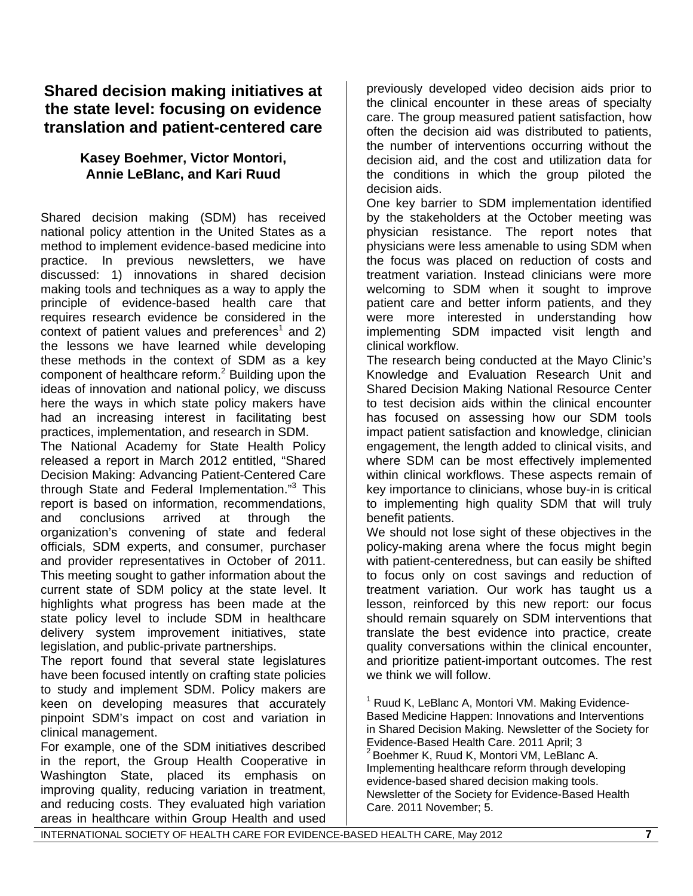## **Shared decision making initiatives at the state level: focusing on evidence translation and patient-centered care**

### **Kasey Boehmer, Victor Montori, Annie LeBlanc, and Kari Ruud**

Shared decision making (SDM) has received national policy attention in the United States as a method to implement evidence-based medicine into practice. In previous newsletters, we have discussed: 1) innovations in shared decision making tools and techniques as a way to apply the principle of evidence-based health care that requires research evidence be considered in the context of patient values and preferences<sup>1</sup> and 2) the lessons we have learned while developing these methods in the context of SDM as a key component of healthcare reform. $^2$  Building upon the ideas of innovation and national policy, we discuss here the ways in which state policy makers have had an increasing interest in facilitating best practices, implementation, and research in SDM.

The National Academy for State Health Policy released a report in March 2012 entitled, "Shared Decision Making: Advancing Patient-Centered Care through State and Federal Implementation."<sup>3</sup> This report is based on information, recommendations, and conclusions arrived at through the organization's convening of state and federal officials, SDM experts, and consumer, purchaser and provider representatives in October of 2011. This meeting sought to gather information about the current state of SDM policy at the state level. It highlights what progress has been made at the state policy level to include SDM in healthcare delivery system improvement initiatives, state legislation, and public-private partnerships.

The report found that several state legislatures have been focused intently on crafting state policies to study and implement SDM. Policy makers are keen on developing measures that accurately pinpoint SDM's impact on cost and variation in clinical management.

For example, one of the SDM initiatives described in the report, the Group Health Cooperative in Washington State, placed its emphasis on improving quality, reducing variation in treatment, and reducing costs. They evaluated high variation areas in healthcare within Group Health and used

previously developed video decision aids prior to the clinical encounter in these areas of specialty care. The group measured patient satisfaction, how often the decision aid was distributed to patients, the number of interventions occurring without the decision aid, and the cost and utilization data for the conditions in which the group piloted the decision aids.

One key barrier to SDM implementation identified by the stakeholders at the October meeting was physician resistance. The report notes that physicians were less amenable to using SDM when the focus was placed on reduction of costs and treatment variation. Instead clinicians were more welcoming to SDM when it sought to improve patient care and better inform patients, and they were more interested in understanding how implementing SDM impacted visit length and clinical workflow.

The research being conducted at the Mayo Clinic's Knowledge and Evaluation Research Unit and Shared Decision Making National Resource Center to test decision aids within the clinical encounter has focused on assessing how our SDM tools impact patient satisfaction and knowledge, clinician engagement, the length added to clinical visits, and where SDM can be most effectively implemented within clinical workflows. These aspects remain of key importance to clinicians, whose buy-in is critical to implementing high quality SDM that will truly benefit patients.

We should not lose sight of these objectives in the policy-making arena where the focus might begin with patient-centeredness, but can easily be shifted to focus only on cost savings and reduction of treatment variation. Our work has taught us a lesson, reinforced by this new report: our focus should remain squarely on SDM interventions that translate the best evidence into practice, create quality conversations within the clinical encounter, and prioritize patient-important outcomes. The rest we think we will follow.

<sup>1</sup> Ruud K, LeBlanc A, Montori VM. Making Evidence-Based Medicine Happen: Innovations and Interventions in Shared Decision Making. Newsletter of the Society for Evidence-Based Health Care. 2011 April; 3 2 Boehmer K, Ruud K, Montori VM, LeBlanc A. Implementing healthcare reform through developing evidence-based shared decision making tools. Newsletter of the Society for Evidence-Based Health Care. 2011 November; 5.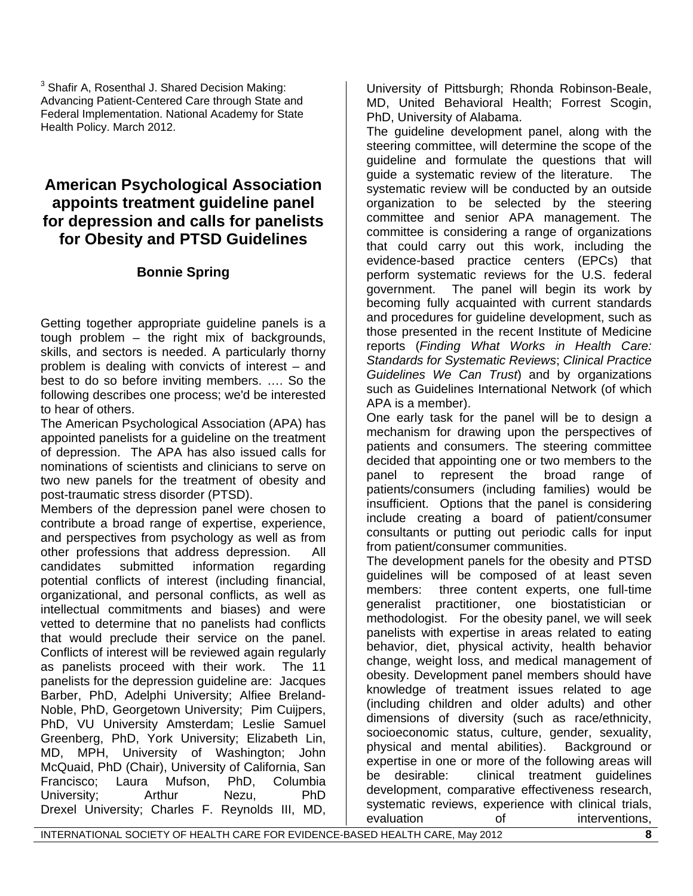$3$  Shafir A, Rosenthal J. Shared Decision Making: Advancing Patient-Centered Care through State and Federal Implementation. National Academy for State Health Policy. March 2012.

## **American Psychological Association appoints treatment guideline panel for depression and calls for panelists for Obesity and PTSD Guidelines**

### **Bonnie Spring**

Getting together appropriate guideline panels is a tough problem – the right mix of backgrounds, skills, and sectors is needed. A particularly thorny problem is dealing with convicts of interest – and best to do so before inviting members. …. So the following describes one process; we'd be interested to hear of others.

The American Psychological Association (APA) has appointed panelists for a guideline on the treatment of depression. The APA has also issued calls for nominations of scientists and clinicians to serve on two new panels for the treatment of obesity and post-traumatic stress disorder (PTSD).

Members of the depression panel were chosen to contribute a broad range of expertise, experience, and perspectives from psychology as well as from other professions that address depression. All candidates submitted information regarding potential conflicts of interest (including financial, organizational, and personal conflicts, as well as intellectual commitments and biases) and were vetted to determine that no panelists had conflicts that would preclude their service on the panel. Conflicts of interest will be reviewed again regularly as panelists proceed with their work. The 11 panelists for the depression guideline are: Jacques Barber, PhD, Adelphi University; Alfiee Breland-Noble, PhD, Georgetown University; Pim Cuijpers, PhD, VU University Amsterdam; Leslie Samuel Greenberg, PhD, York University; Elizabeth Lin, MD, MPH, University of Washington; John McQuaid, PhD (Chair), University of California, San Francisco; Laura Mufson, PhD, Columbia University; Arthur Nezu, PhD Drexel University; Charles F. Reynolds III, MD,

University of Pittsburgh; Rhonda Robinson-Beale, MD, United Behavioral Health; Forrest Scogin, PhD, University of Alabama.

The guideline development panel, along with the steering committee, will determine the scope of the guideline and formulate the questions that will guide a systematic review of the literature. The systematic review will be conducted by an outside organization to be selected by the steering committee and senior APA management. The committee is considering a range of organizations that could carry out this work, including the evidence-based practice centers (EPCs) that perform systematic reviews for the U.S. federal government. The panel will begin its work by becoming fully acquainted with current standards and procedures for guideline development, such as those presented in the recent Institute of Medicine reports (*Finding What Works in Health Care: Standards for Systematic Reviews*; *Clinical Practice Guidelines We Can Trust*) and by organizations such as Guidelines International Network (of which APA is a member).

One early task for the panel will be to design a mechanism for drawing upon the perspectives of patients and consumers. The steering committee decided that appointing one or two members to the panel to represent the broad range of patients/consumers (including families) would be insufficient. Options that the panel is considering include creating a board of patient/consumer consultants or putting out periodic calls for input from patient/consumer communities.

The development panels for the obesity and PTSD guidelines will be composed of at least seven members: three content experts, one full-time generalist practitioner, one biostatistician or methodologist. For the obesity panel, we will seek panelists with expertise in areas related to eating behavior, diet, physical activity, health behavior change, weight loss, and medical management of obesity. Development panel members should have knowledge of treatment issues related to age (including children and older adults) and other dimensions of diversity (such as race/ethnicity, socioeconomic status, culture, gender, sexuality, physical and mental abilities). Background or expertise in one or more of the following areas will be desirable: clinical treatment guidelines development, comparative effectiveness research, systematic reviews, experience with clinical trials, evaluation of interventions,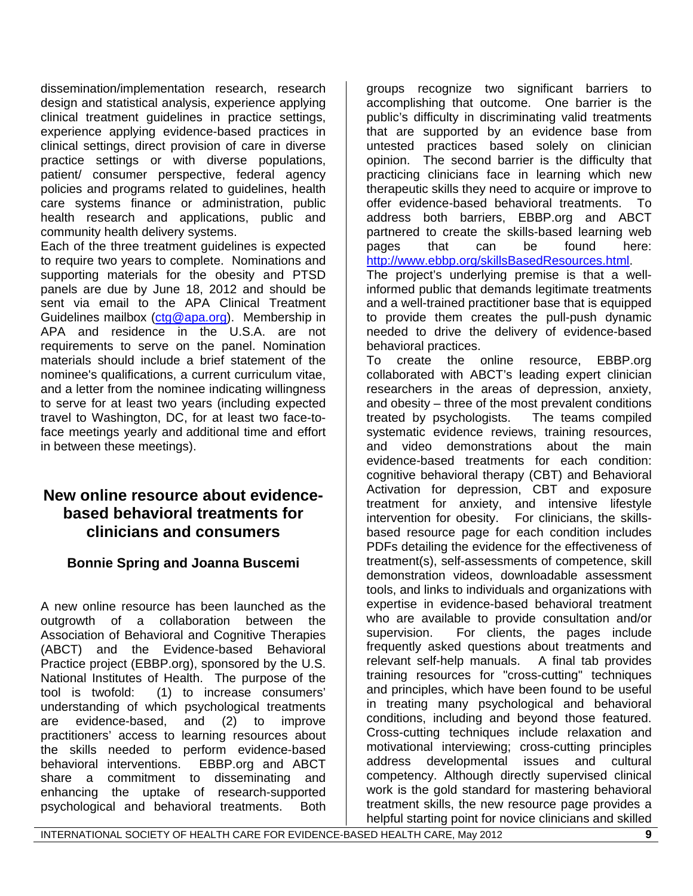dissemination/implementation research, research design and statistical analysis, experience applying clinical treatment guidelines in practice settings, experience applying evidence-based practices in clinical settings, direct provision of care in diverse practice settings or with diverse populations, patient/ consumer perspective, federal agency policies and programs related to guidelines, health care systems finance or administration, public health research and applications, public and community health delivery systems.

Each of the three treatment guidelines is expected to require two years to complete. Nominations and supporting materials for the obesity and PTSD panels are due by June 18, 2012 and should be sent via email to the APA Clinical Treatment Guidelines mailbox (ctg@apa.org). Membership in APA and residence in the U.S.A. are not requirements to serve on the panel. Nomination materials should include a brief statement of the nominee's qualifications, a current curriculum vitae, and a letter from the nominee indicating willingness to serve for at least two years (including expected travel to Washington, DC, for at least two face-toface meetings yearly and additional time and effort in between these meetings).

## **New online resource about evidencebased behavioral treatments for clinicians and consumers**

### **Bonnie Spring and Joanna Buscemi**

A new online resource has been launched as the outgrowth of a collaboration between the Association of Behavioral and Cognitive Therapies (ABCT) and the Evidence-based Behavioral Practice project (EBBP.org), sponsored by the U.S. National Institutes of Health. The purpose of the tool is twofold: (1) to increase consumers' understanding of which psychological treatments are evidence-based, and (2) to improve practitioners' access to learning resources about the skills needed to perform evidence-based behavioral interventions. EBBP.org and ABCT share a commitment to disseminating and enhancing the uptake of research-supported psychological and behavioral treatments. Both

groups recognize two significant barriers to accomplishing that outcome. One barrier is the public's difficulty in discriminating valid treatments that are supported by an evidence base from untested practices based solely on clinician opinion. The second barrier is the difficulty that practicing clinicians face in learning which new therapeutic skills they need to acquire or improve to offer evidence-based behavioral treatments. To address both barriers, EBBP.org and ABCT partnered to create the skills-based learning web pages that can be found here: http://www.ebbp.org/skillsBasedResources.html. The project's underlying premise is that a well-

informed public that demands legitimate treatments and a well-trained practitioner base that is equipped to provide them creates the pull-push dynamic needed to drive the delivery of evidence-based behavioral practices.

To create the online resource, EBBP.org collaborated with ABCT's leading expert clinician researchers in the areas of depression, anxiety, and obesity – three of the most prevalent conditions treated by psychologists. The teams compiled systematic evidence reviews, training resources, and video demonstrations about the main evidence-based treatments for each condition: cognitive behavioral therapy (CBT) and Behavioral Activation for depression, CBT and exposure treatment for anxiety, and intensive lifestyle intervention for obesity. For clinicians, the skillsbased resource page for each condition includes PDFs detailing the evidence for the effectiveness of treatment(s), self-assessments of competence, skill demonstration videos, downloadable assessment tools, and links to individuals and organizations with expertise in evidence-based behavioral treatment who are available to provide consultation and/or supervision. For clients, the pages include frequently asked questions about treatments and relevant self-help manuals. A final tab provides training resources for "cross-cutting" techniques and principles, which have been found to be useful in treating many psychological and behavioral conditions, including and beyond those featured. Cross-cutting techniques include relaxation and motivational interviewing; cross-cutting principles address developmental issues and cultural competency. Although directly supervised clinical work is the gold standard for mastering behavioral treatment skills, the new resource page provides a helpful starting point for novice clinicians and skilled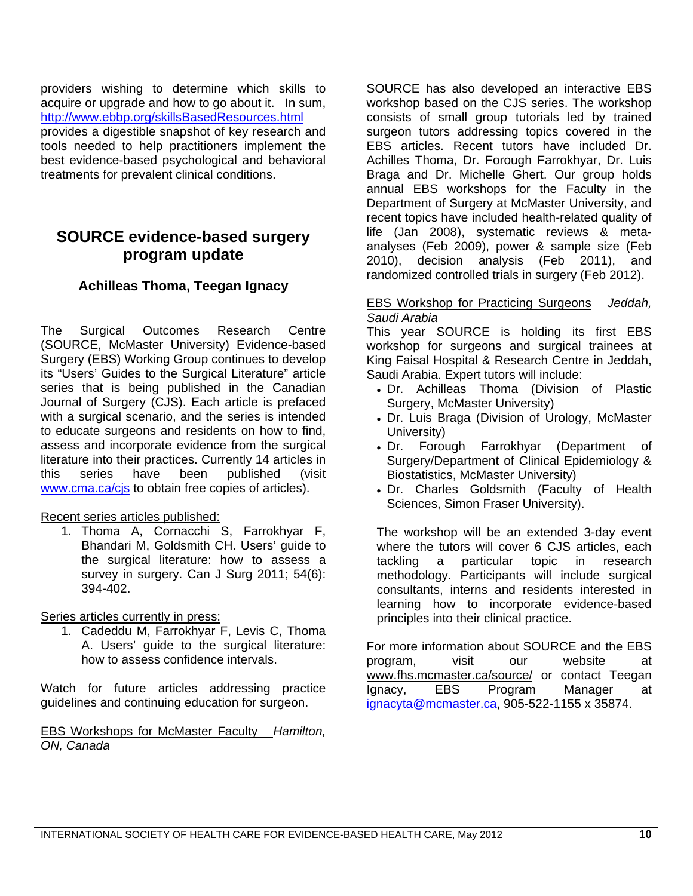providers wishing to determine which skills to acquire or upgrade and how to go about it. In sum, http://www.ebbp.org/skillsBasedResources.html provides a digestible snapshot of key research and tools needed to help practitioners implement the best evidence-based psychological and behavioral treatments for prevalent clinical conditions.

## **SOURCE evidence-based surgery program update**

### **Achilleas Thoma, Teegan Ignacy**

The Surgical Outcomes Research Centre (SOURCE, McMaster University) Evidence-based Surgery (EBS) Working Group continues to develop its "Users' Guides to the Surgical Literature" article series that is being published in the Canadian Journal of Surgery (CJS). Each article is prefaced with a surgical scenario, and the series is intended to educate surgeons and residents on how to find, assess and incorporate evidence from the surgical literature into their practices. Currently 14 articles in this series have been published (visit www.cma.ca/cis to obtain free copies of articles).

#### Recent series articles published:

1. Thoma A, Cornacchi S, Farrokhyar F, Bhandari M, Goldsmith CH. Users' guide to the surgical literature: how to assess a survey in surgery. Can J Surg 2011; 54(6): 394-402.

Series articles currently in press:

1. Cadeddu M, Farrokhyar F, Levis C, Thoma A. Users' guide to the surgical literature: how to assess confidence intervals.

Watch for future articles addressing practice guidelines and continuing education for surgeon.

EBS Workshops for McMaster Faculty *Hamilton, ON, Canada*

SOURCE has also developed an interactive EBS workshop based on the CJS series. The workshop consists of small group tutorials led by trained surgeon tutors addressing topics covered in the EBS articles. Recent tutors have included Dr. Achilles Thoma, Dr. Forough Farrokhyar, Dr. Luis Braga and Dr. Michelle Ghert. Our group holds annual EBS workshops for the Faculty in the Department of Surgery at McMaster University, and recent topics have included health-related quality of life (Jan 2008), systematic reviews & metaanalyses (Feb 2009), power & sample size (Feb 2010), decision analysis (Feb 2011), and randomized controlled trials in surgery (Feb 2012).

#### EBS Workshop for Practicing Surgeons *Jeddah, Saudi Arabia*

This year SOURCE is holding its first EBS workshop for surgeons and surgical trainees at King Faisal Hospital & Research Centre in Jeddah, Saudi Arabia. Expert tutors will include:

- Dr. Achilleas Thoma (Division of Plastic Surgery, McMaster University)
- Dr. Luis Braga (Division of Urology, McMaster University)
- Dr. Forough Farrokhyar (Department of Surgery/Department of Clinical Epidemiology & Biostatistics, McMaster University)
- Dr. Charles Goldsmith (Faculty of Health Sciences, Simon Fraser University).

The workshop will be an extended 3-day event where the tutors will cover 6 CJS articles, each tackling a particular topic in research methodology. Participants will include surgical consultants, interns and residents interested in learning how to incorporate evidence-based principles into their clinical practice.

For more information about SOURCE and the EBS program, visit our website at www.fhs.mcmaster.ca/source/ or contact Teegan Ignacy, EBS Program Manager at ignacyta@mcmaster.ca, 905-522-1155 x 35874.

 $\overline{a}$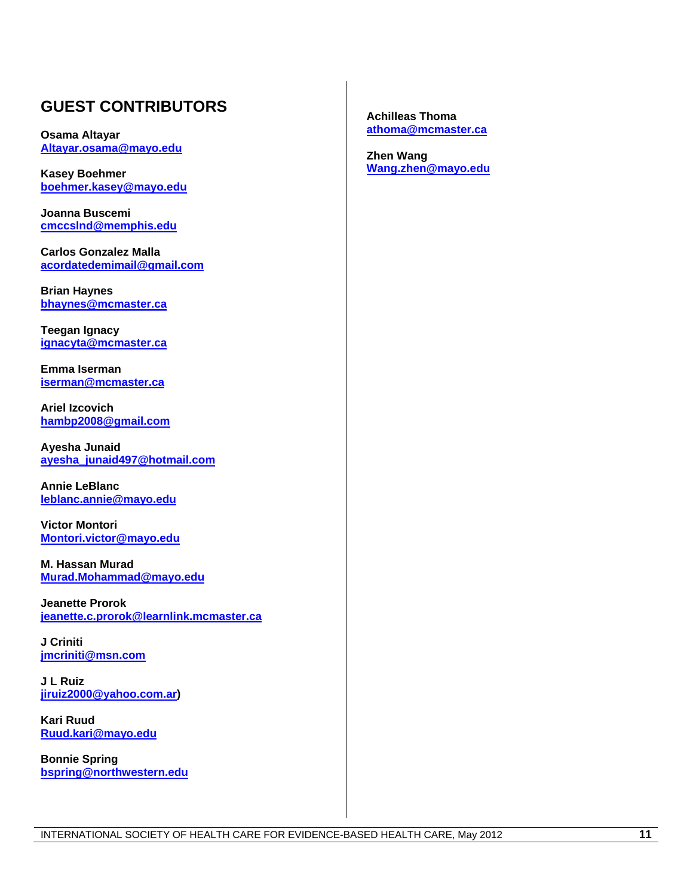## **GUEST CONTRIBUTORS**

**Osama Altayar Altayar.osama@mayo.edu**

**Kasey Boehmer boehmer.kasey@mayo.edu**

**Joanna Buscemi cmccslnd@memphis.edu**

**Carlos Gonzalez Malla acordatedemimail@gmail.com**

**Brian Haynes bhaynes@mcmaster.ca**

**Teegan Ignacy ignacyta@mcmaster.ca**

**Emma Iserman iserman@mcmaster.ca**

**Ariel Izcovich hambp2008@gmail.com**

**Ayesha Junaid ayesha\_junaid497@hotmail.com**

**Annie LeBlanc leblanc.annie@mayo.edu**

**Victor Montori Montori.victor@mayo.edu**

**M. Hassan Murad Murad.Mohammad@mayo.edu**

**Jeanette Prorok jeanette.c.prorok@learnlink.mcmaster.ca**

**J Criniti jmcriniti@msn.com**

**J L Ruiz jiruiz2000@yahoo.com.ar)** 

**Kari Ruud Ruud.kari@mayo.edu**

**Bonnie Spring bspring@northwestern.edu** **Achilleas Thoma athoma@mcmaster.ca**

**Zhen Wang Wang.zhen@mayo.edu**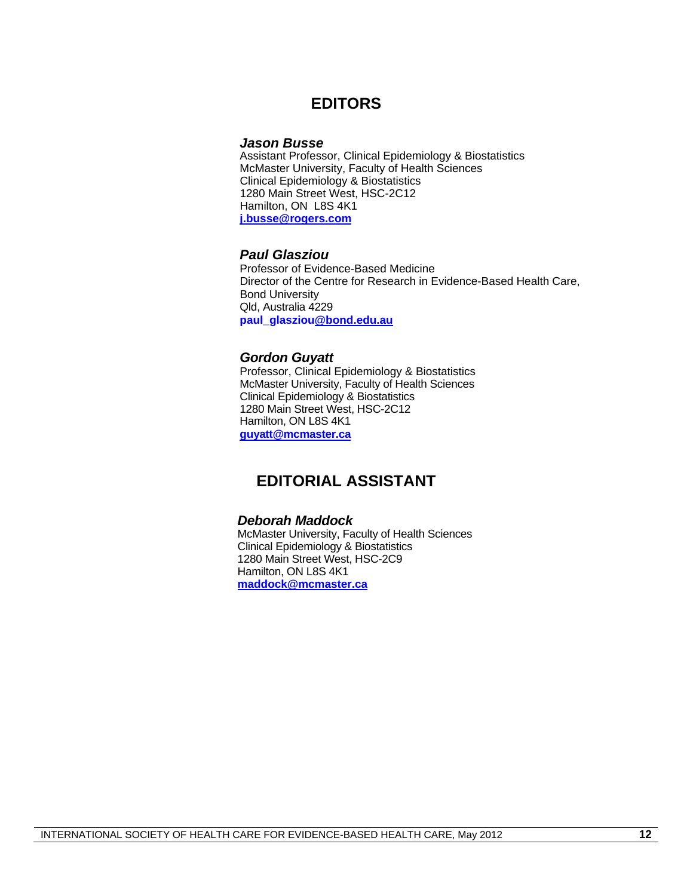### **EDITORS**

#### *Jason Busse*

Assistant Professor, Clinical Epidemiology & Biostatistics McMaster University, Faculty of Health Sciences Clinical Epidemiology & Biostatistics 1280 Main Street West, HSC-2C12 Hamilton, ON L8S 4K1 **j.busse@rogers.com**

#### *Paul Glasziou*

Professor of Evidence-Based Medicine Director of the Centre for Research in Evidence-Based Health Care, Bond University Qld, Australia 4229 **paul\_glasziou@bond.edu.au**

#### *Gordon Guyatt*

Professor, Clinical Epidemiology & Biostatistics McMaster University, Faculty of Health Sciences Clinical Epidemiology & Biostatistics 1280 Main Street West, HSC-2C12 Hamilton, ON L8S 4K1 **guyatt@mcmaster.ca**

### **EDITORIAL ASSISTANT**

#### *Deborah Maddock*

McMaster University, Faculty of Health Sciences Clinical Epidemiology & Biostatistics 1280 Main Street West, HSC-2C9 Hamilton, ON L8S 4K1 **maddock@mcmaster.ca**